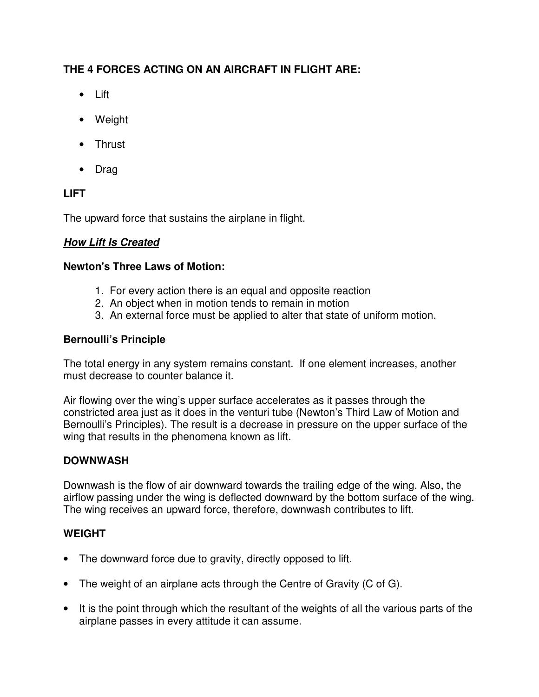# **THE 4 FORCES ACTING ON AN AIRCRAFT IN FLIGHT ARE:**

- Lift
- Weight
- Thrust
- Drag

# **LIFT**

The upward force that sustains the airplane in flight.

### **How Lift Is Created**

### **Newton's Three Laws of Motion:**

- 1. For every action there is an equal and opposite reaction
- 2. An object when in motion tends to remain in motion
- 3. An external force must be applied to alter that state of uniform motion.

### **Bernoulli's Principle**

The total energy in any system remains constant. If one element increases, another must decrease to counter balance it.

Air flowing over the wing's upper surface accelerates as it passes through the constricted area just as it does in the venturi tube (Newton's Third Law of Motion and Bernoulli's Principles). The result is a decrease in pressure on the upper surface of the wing that results in the phenomena known as lift.

## **DOWNWASH**

Downwash is the flow of air downward towards the trailing edge of the wing. Also, the airflow passing under the wing is deflected downward by the bottom surface of the wing. The wing receives an upward force, therefore, downwash contributes to lift.

## **WEIGHT**

- The downward force due to gravity, directly opposed to lift.
- The weight of an airplane acts through the Centre of Gravity (C of G).
- It is the point through which the resultant of the weights of all the various parts of the airplane passes in every attitude it can assume.